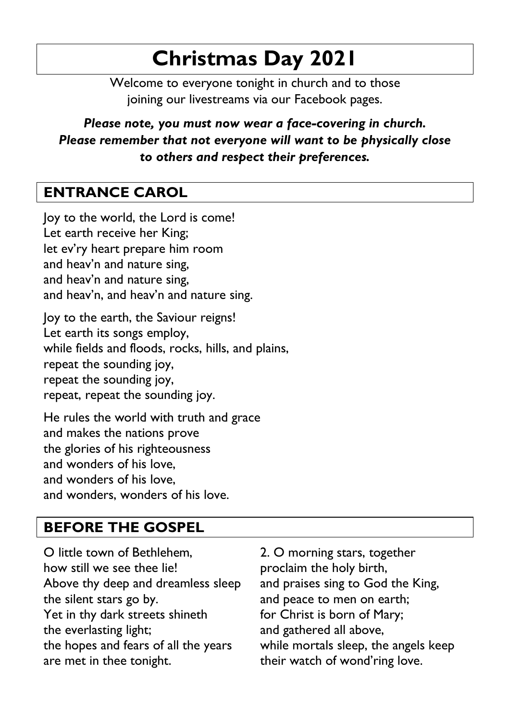# **Christmas Day 2021**

Welcome to everyone tonight in church and to those joining our livestreams via our Facebook pages.

*Please note, you must now wear a face-covering in church. Please remember that not everyone will want to be physically close to others and respect their preferences.*

## **ENTRANCE CAROL**

Joy to the world, the Lord is come! Let earth receive her King; let ev'ry heart prepare him room and heav'n and nature sing, and heav'n and nature sing, and heav'n, and heav'n and nature sing.

Joy to the earth, the Saviour reigns! Let earth its songs employ, while fields and floods, rocks, hills, and plains, repeat the sounding joy, repeat the sounding joy, repeat, repeat the sounding joy.

He rules the world with truth and grace and makes the nations prove the glories of his righteousness and wonders of his love, and wonders of his love, and wonders, wonders of his love.

### **BEFORE THE GOSPEL**

O little town of Bethlehem, how still we see thee lie! Above thy deep and dreamless sleep the silent stars go by. Yet in thy dark streets shineth the everlasting light; the hopes and fears of all the years are met in thee tonight.

2. O morning stars, together proclaim the holy birth, and praises sing to God the King, and peace to men on earth; for Christ is born of Mary; and gathered all above, while mortals sleep, the angels keep their watch of wond'ring love.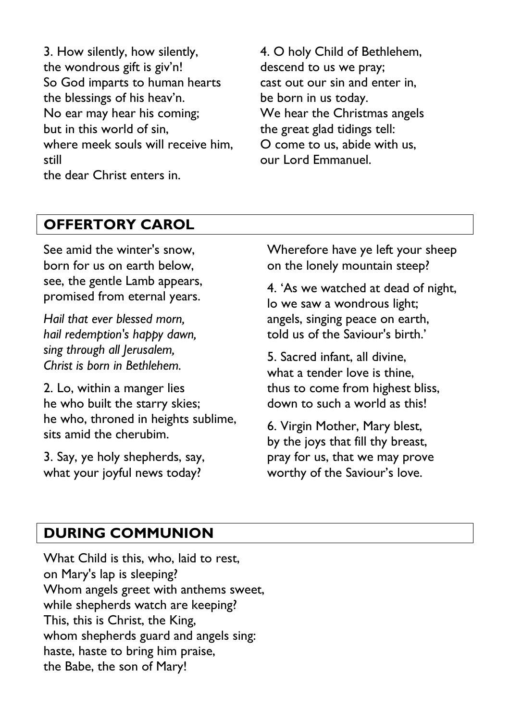3. How silently, how silently, the wondrous gift is giv'n! So God imparts to human hearts the blessings of his heav'n. No ear may hear his coming; but in this world of sin, where meek souls will receive him, still the dear Christ enters in.

4. O holy Child of Bethlehem, descend to us we pray; cast out our sin and enter in, be born in us today. We hear the Christmas angels the great glad tidings tell: O come to us, abide with us, our Lord Emmanuel.

#### **OFFERTORY CAROL**

See amid the winter's snow, born for us on earth below, see, the gentle Lamb appears, promised from eternal years.

*Hail that ever blessed morn, hail redemption's happy dawn, sing through all Jerusalem, Christ is born in Bethlehem.*

2. Lo, within a manger lies he who built the starry skies; he who, throned in heights sublime, sits amid the cherubim.

3. Say, ye holy shepherds, say, what your joyful news today?

Wherefore have ye left your sheep on the lonely mountain steep?

4. 'As we watched at dead of night, lo we saw a wondrous light; angels, singing peace on earth, told us of the Saviour's birth.'

5. Sacred infant, all divine, what a tender love is thine. thus to come from highest bliss, down to such a world as this!

6. Virgin Mother, Mary blest, by the joys that fill thy breast, pray for us, that we may prove worthy of the Saviour's love.

#### **DURING COMMUNION**

What Child is this, who, laid to rest, on Mary's lap is sleeping? Whom angels greet with anthems sweet, while shepherds watch are keeping? This, this is Christ, the King, whom shepherds guard and angels sing: haste, haste to bring him praise, the Babe, the son of Mary!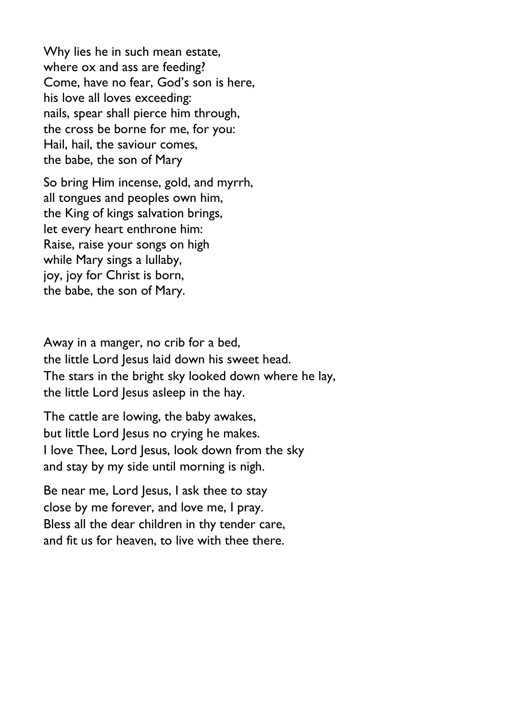Why lies he in such mean estate, where ox and ass are feeding? Come, have no fear, God's son is here, his love all loves exceeding: nails, spear shall pierce him through, the cross be borne for me, for you: Hail, hail, the saviour comes, the babe, the son of Mary

So bring Him incense, gold, and myrrh, all tongues and peoples own him, the King of kings salvation brings, let every heart enthrone him: Raise, raise your songs on high while Mary sings a lullaby, joy, joy for Christ is born, the babe, the son of Mary.

Away in a manger, no crib for a bed, the little Lord Jesus laid down his sweet head. The stars in the bright sky looked down where he lay, the little Lord Jesus asleep in the hay.

The cattle are lowing, the baby awakes, but little Lord Jesus no crying he makes. I love Thee, Lord Jesus, look down from the sky and stay by my side until morning is nigh.

Be near me, Lord Jesus, I ask thee to stay close by me forever, and love me, I pray. Bless all the dear children in thy tender care, and fit us for heaven, to live with thee there.